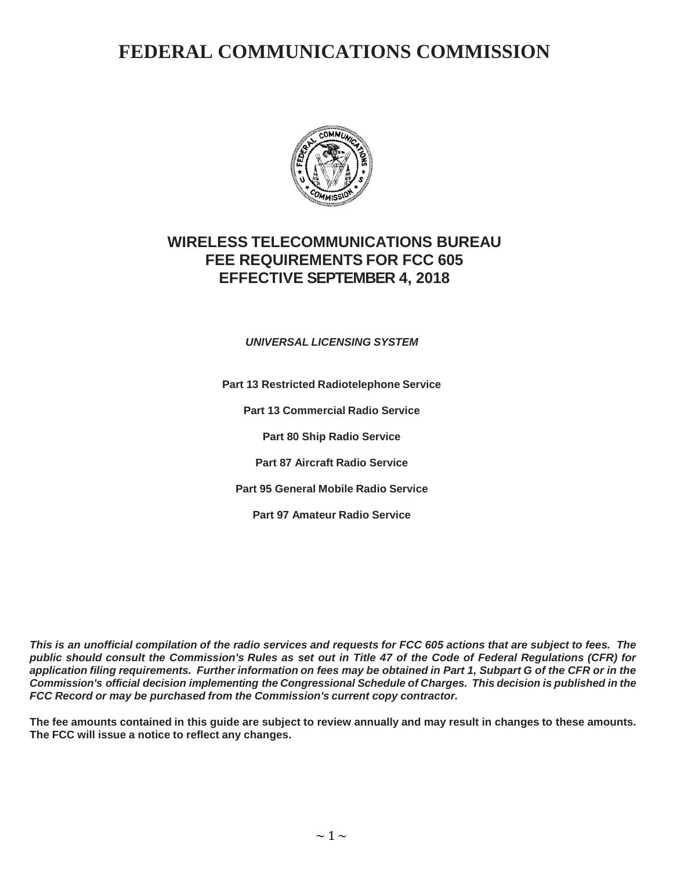# **FEDERAL COMMUNICATIONS COMMISSION**



## **WIRELESS TELECOMMUNICATIONS BUREAU FEE REQUIREMENTS FOR FCC 605 EFFECTIVE SEPTEMBER 4, 2018**

*UNIVERSAL LICENSING SYSTEM*

**Part 13 Restricted Radiotelephone Service**

**Part 13 Commercial Radio Service**

**Part 80 Ship Radio Service**

**Part 87 Aircraft Radio Service**

**Part 95 General Mobile Radio Service**

**Part 97 Amateur Radio Service**

This is an unofficial compilation of the radio services and requests for FCC 605 actions that are subject to fees. The public should consult the Commission's Rules as set out in Title 47 of the Code of Federal Regulations (CFR) for application filing requirements. Further information on fees may be obtained in Part 1, Subpart G of the CFR or in the *Commission's official decision implementing the Congressional Schedule of Charges. This decision is published in the FCC Record or may be purchased from the Commission's current copy contractor.*

The fee amounts contained in this guide are subject to review annually and may result in changes to these amounts. **The FCC will issue a notice to reflect any changes.**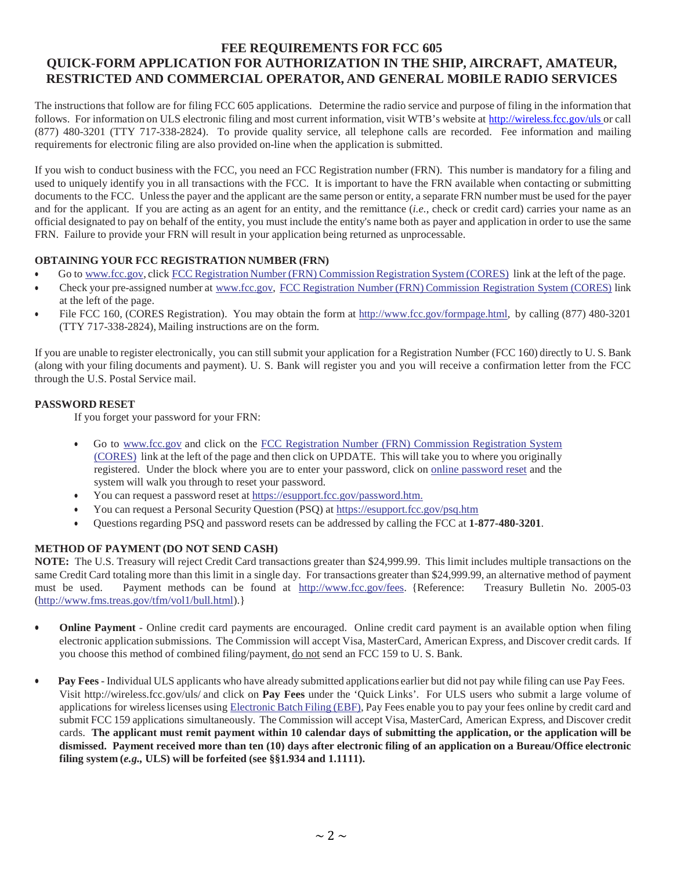## **FEE REQUIREMENTS FOR FCC 605 QUICK-FORM APPLICATION FOR AUTHORIZATION IN THE SHIP, AIRCRAFT, AMATEUR, RESTRICTED AND COMMERCIAL OPERATOR, AND GENERAL MOBILE RADIO SERVICES**

The instructionsthat follow are for filing FCC 605 applications. Determine the radio service and purpose of filing in the information that follows. For information on ULS electronic filing and most current information, visit WTB's website at <http://wireless.fcc.gov/uls> or call (877) 480-3201 (TTY 717-338-2824). To provide quality service, all telephone calls are recorded. Fee information and mailing requirements for electronic filing are also provided on-line when the application is submitted.

If you wish to conduct business with the FCC, you need an FCC Registration number (FRN). This number is mandatory for a filing and used to uniquely identify you in all transactions with the FCC. It is important to have the FRN available when contacting or submitting documents to the FCC. Unless the payer and the applicant are the same person or entity, a separate FRN number must be used for the payer and for the applicant. If you are acting as an agent for an entity, and the remittance (*i.e.*, check or credit card) carries your name as an official designated to pay on behalf of the entity, you must include the entity's name both as payer and application in order to use the same FRN. Failure to provide your FRN will result in your application being returned as unprocessable.

#### **OBTAINING YOUR FCC REGISTRATION NUMBER (FRN)**

- Go to [www.fcc.gov,](http://www.fcc.gov/) click FCC Registration Number (FRN) Commission Registration System (CORES) link at the left of the page.
- Check your pre-assigned number at [www.fcc.gov,](http://www.fcc.gov/) FCC Registration Number (FRN) Commission Registration System (CORES) link at the left of the page.
- File FCC 160, (CORES Registration). You may obtain the form at [http://www.fcc.gov/formpage.html,](http://www.fcc.gov/formpage.html) by calling (877) 480-3201 (TTY 717-338-2824), Mailing instructions are on the form.

If you are unable to register electronically, you can still submit your application for a Registration Number (FCC 160) directly to U. S. Bank (along with your filing documents and payment). U. S. Bank will register you and you will receive a confirmation letter from the FCC through the U.S. Postal Service mail.

#### **PASSWORD RESET**

If you forget your password for your FRN:

- Go to [www.fcc.gov](http://www.fcc.gov/) and click on the FCC Registration Number (FRN) Commission Registration System (CORES) link at the left of the page and then click on UPDATE. This will take you to where you originally registered. Under the block where you are to enter your password, click on online password reset and the system will walk you through to reset your password.
- You can request a password reset at https://esupport.fcc.gov/password.htm.
- You can request a Personal Security Question (PSQ) at https://esupport.fcc.gov/psq.htm
- Questions regarding PSQ and password resets can be addressed by calling the FCC at **1-877-480-3201**.

#### **METHOD OF PAYMENT (DO NOT SEND CASH)**

**NOTE:** The U.S. Treasury will reject Credit Card transactions greater than \$24,999.99. This limit includes multiple transactions on the same Credit Card totaling more than this limit in a single day. For transactions greater than \$24,999.99, an alternative method of payment must be used. Payment methods can be found at [http://www.fcc.gov/fees. {](http://www.fcc.gov/fees)Reference: Treasury Bulletin No. 2005-03 [\(http://www.fms.treas.gov/tfm/vol1/bull.html\).}](http://www.fms.treas.gov/tfm/vol1/bull.html))

- **Online Payment** Online credit card payments are encouraged. Online credit card payment is an available option when filing electronic application submissions. The Commission will accept Visa, MasterCard, American Express, and Discover credit cards. If you choose this method of combined filing/payment, do not send an FCC 159 to U. S. Bank.
- **Pay Fees** Individual ULS applicants who have already submitted applications earlier but did not pay while filing can use Pay Fees. Visit <http://wireless.fcc.gov/uls/> and click on **Pay Fees** under the 'Quick Links'. For ULS users who submit a large volume of applications for wirelesslicenses using Electronic Batch Filing (EBF), Pay Fees enable you to pay your fees online by credit card and submit FCC 159 applications simultaneously. The Commission will accept Visa, MasterCard, American Express, and Discover credit cards. The applicant must remit payment within 10 calendar days of submitting the application, or the application will be dismissed. Payment received more than ten (10) days after electronic filing of an application on a Bureau/Office electronic **filing system (***e.g.,* **ULS) will be forfeited (see §§1.934 and 1.1111).**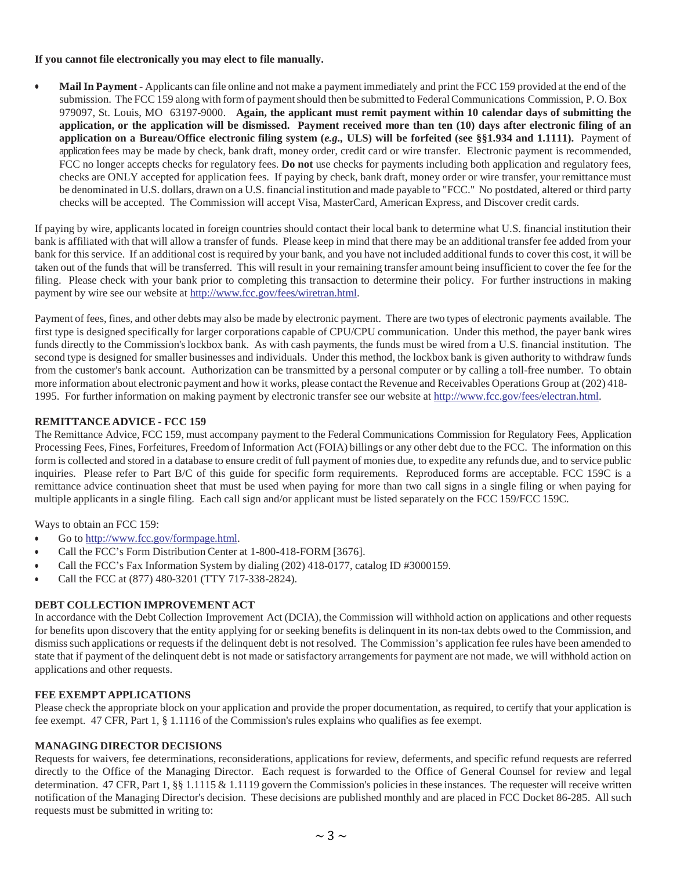#### **If you cannot file electronically you may elect to file manually.**

• **MailIn Payment** - Applicants can file online and not make a payment immediately and print the FCC 159 provided at the end of the submission. The FCC 159 along with form of payment should then be submitted to Federal Communications Commission, P.O.Box 979097, St. Louis, MO 63197-9000. **Again, the applicant must remit payment within 10 calendar days of submitting the**  application, or the application will be dismissed. Payment received more than ten  $(10)$  days after electronic filing of an application on a Bureau/Office electronic filing system  $(e.g., ULS)$  will be forfeited (see §§1.934 and 1.1111). Payment of application fees may be made by check, bank draft, money order, credit card or wire transfer. Electronic payment is recommended, FCC no longer accepts checks for regulatory fees. **Do not** use checks for payments including both application and regulatory fees, checks are ONLY accepted for application fees. If paying by check, bank draft, money order or wire transfer, your remittance must be denominated in U.S. dollars, drawn on a U.S. financial institution and made payable to "FCC." No postdated, altered or third party checks will be accepted. The Commission will accept Visa, MasterCard, American Express, and Discover credit cards.

If paying by wire, applicants located in foreign countries should contact their local bank to determine what U.S. financial institution their bank is affiliated with that will allow a transfer of funds. Please keep in mind that there may be an additional transfer fee added from your bank for this service. If an additional cost is required by your bank, and you have not included additional funds to cover this cost, it will be taken out of the funds that will be transferred. This will result in your remaining transfer amount being insufficient to cover the fee for the filing. Please check with your bank prior to completing this transaction to determine their policy. For further instructions in making payment by wire see our website at [http://www.fcc.gov/fees/wiretran.html.](http://www.fcc.gov/fees/wiretran.html)

Payment of fees, fines, and other debts may also be made by electronic payment. There are two types of electronic payments available. The first type is designed specifically for larger corporations capable of CPU/CPU communication. Under this method, the payer bank wires funds directly to the Commission'slockbox bank. As with cash payments, the funds must be wired from a U.S. financial institution. The second type is designed for smaller businesses and individuals. Under this method, the lockbox bank is given authority to withdraw funds from the customer's bank account. Authorization can be transmitted by a personal computer or by calling a toll-free number. To obtain more information about electronic payment and how it works, please contact the Revenue and Receivables Operations Group at (202) 418- 1995. For further information on making payment by electronic transfer see our website at [http://www.fcc.gov/fees/electran.html.](http://www.fcc.gov/fees/electran.html)

#### **REMITTANCE ADVICE - FCC 159**

The Remittance Advice, FCC 159, must accompany payment to the Federal Communications Commission for Regulatory Fees, Application Processing Fees, Fines, Forfeitures, Freedomof Information Act (FOIA) billings or any other debt due to the FCC. The information on this form is collected and stored in a database to ensure credit of full payment of monies due, to expedite any refunds due, and to service public inquiries. Please refer to Part B/C of this guide for specific form requirements. Reproduced forms are acceptable. FCC 159C is a remittance advice continuation sheet that must be used when paying for more than two call signs in a single filing or when paying for multiple applicants in a single filing. Each call sign and/or applicant must be listed separately on the FCC 159/FCC 159C.

Ways to obtain an FCC 159:

- Go to [http://www.fcc.gov/formpage.html.](http://www.fcc.gov/formpage.html)
- Call the FCC's Form Distribution Center at 1-800-418-FORM [3676].
- Call the FCC's Fax Information System by dialing (202) 418-0177, catalog ID #3000159.
- Call the FCC at (877) 480-3201 (TTY 717-338-2824).

#### **DEBT COLLECTION IMPROVEMENT ACT**

In accordance with the Debt Collection Improvement Act (DCIA), the Commission will withhold action on applications and other requests for benefits upon discovery that the entity applying for or seeking benefits is delinquent in its non-tax debts owed to the Commission, and dismisssuch applications or requestsif the delinquent debt is not resolved. The Commission's application fee rules have been amended to state that if payment of the delinquent debt is not made or satisfactory arrangements for payment are not made, we will withhold action on applications and other requests.

#### **FEE EXEMPT APPLICATIONS**

Please check the appropriate block on your application and provide the proper documentation, as required, to certify that your application is fee exempt. 47 CFR, Part 1, § 1.1116 of the Commission's rules explains who qualifies as fee exempt.

#### **MANAGING DIRECTOR DECISIONS**

Requests for waivers, fee determinations, reconsiderations, applications for review, deferments, and specific refund requests are referred directly to the Office of the Managing Director. Each request is forwarded to the Office of General Counsel for review and legal determination. 47 CFR, Part 1, §§ 1.1115 & 1.1119 govern the Commission's policies in these instances. The requester will receive written notification of the Managing Director's decision. These decisions are published monthly and are placed in FCC Docket 86-285. All such requests must be submitted in writing to: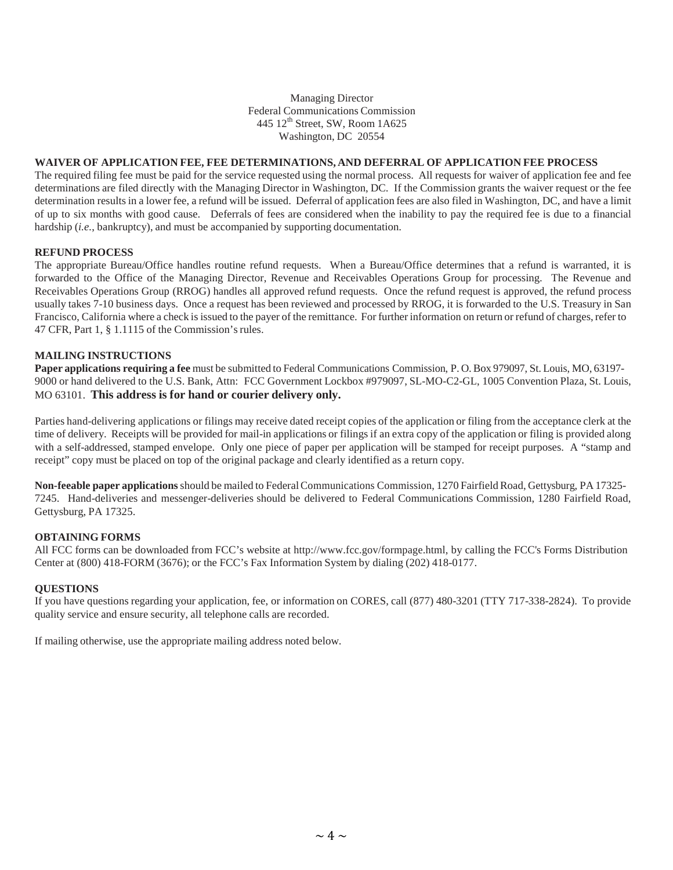#### Managing Director Federal Communications Commission 445 12th Street, SW, Room 1A625 Washington, DC 20554

#### **WAIVER OF APPLICATION FEE, FEE DETERMINATIONS, AND DEFERRAL OF APPLICATION FEE PROCESS**

The required filing fee must be paid for the service requested using the normal process. All requests for waiver of application fee and fee determinations are filed directly with the Managing Director in Washington, DC. If the Commission grants the waiver request or the fee determination resultsin a lower fee, a refund will be issued. Deferral of application fees are also filed in Washington, DC, and have a limit of up to six months with good cause. Deferrals of fees are considered when the inability to pay the required fee is due to a financial hardship (*i.e.*, bankruptcy), and must be accompanied by supporting documentation.

#### **REFUND PROCESS**

The appropriate Bureau/Office handles routine refund requests. When a Bureau/Office determines that a refund is warranted, it is forwarded to the Office of the Managing Director, Revenue and Receivables Operations Group for processing. The Revenue and Receivables Operations Group (RROG) handles all approved refund requests. Once the refund request is approved, the refund process usually takes 7-10 business days. Once a request has been reviewed and processed by RROG, it is forwarded to the U.S. Treasury in San Francisco, California where a check is issued to the payer of the remittance. For further information on return or refund of charges, refer to 47 CFR, Part 1, § 1.1115 of the Commission'srules.

#### **MAILING INSTRUCTIONS**

**Paper applications requiring a fee** must be submitted to Federal Communications Commission, P. O.Box 979097, St. Louis, MO, 63197- 9000 or hand delivered to the U.S. Bank, Attn: FCC Government Lockbox #979097, SL-MO-C2-GL, 1005 Convention Plaza, St. Louis, MO 63101. **This address is for hand or courier delivery only.**

Parties hand-delivering applications or filings may receive dated receipt copies of the application or filing from the acceptance clerk at the time of delivery. Receipts will be provided for mail-in applications or filings if an extra copy of the application or filing is provided along with a self-addressed, stamped envelope. Only one piece of paper per application will be stamped for receipt purposes. A "stamp and receipt" copy must be placed on top of the original package and clearly identified as a return copy.

**Non-feeable paper applications** should be mailed to Federal Communications Commission, 1270 Fairfield Road, Gettysburg, PA 17325-7245. Hand-deliveries and messenger-deliveries should be delivered to Federal Communications Commission, 1280 Fairfield Road, Gettysburg, PA 17325.

#### **OBTAINING FORMS**

All FCC forms can be downloaded from FCC's website at [http://www.fcc.gov/formpage.html,](http://www.fcc.gov/formpage.html) by calling the FCC's Forms Distribution Center at (800) 418-FORM (3676); or the FCC's Fax Information System by dialing (202) 418-0177.

#### **QUESTIONS**

If you have questions regarding your application, fee, or information on CORES, call (877) 480-3201 (TTY 717-338-2824). To provide quality service and ensure security, all telephone calls are recorded.

If mailing otherwise, use the appropriate mailing address noted below.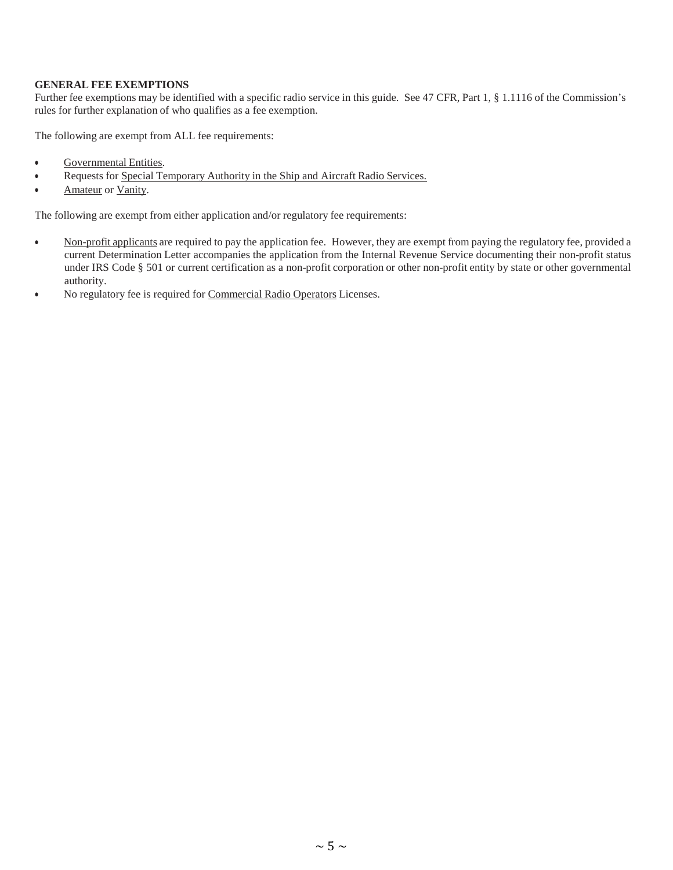#### **GENERAL FEE EXEMPTIONS**

Further fee exemptions may be identified with a specific radio service in this guide. See 47 CFR, Part 1, § 1.1116 of the Commission's rules for further explanation of who qualifies as a fee exemption.

The following are exempt from ALL fee requirements:

- Governmental Entities.
- Requests for Special Temporary Authority in the Ship and Aircraft Radio Services.
- Amateur or Vanity.

The following are exempt from either application and/or regulatory fee requirements:

- Non-profit applicants are required to pay the application fee. However, they are exempt from paying the regulatory fee, provided a current Determination Letter accompanies the application from the Internal Revenue Service documenting their non-profit status under IRS Code § 501 or current certification as a non-profit corporation or other non-profit entity by state or other governmental authority.
- No regulatory fee is required for Commercial Radio Operators Licenses.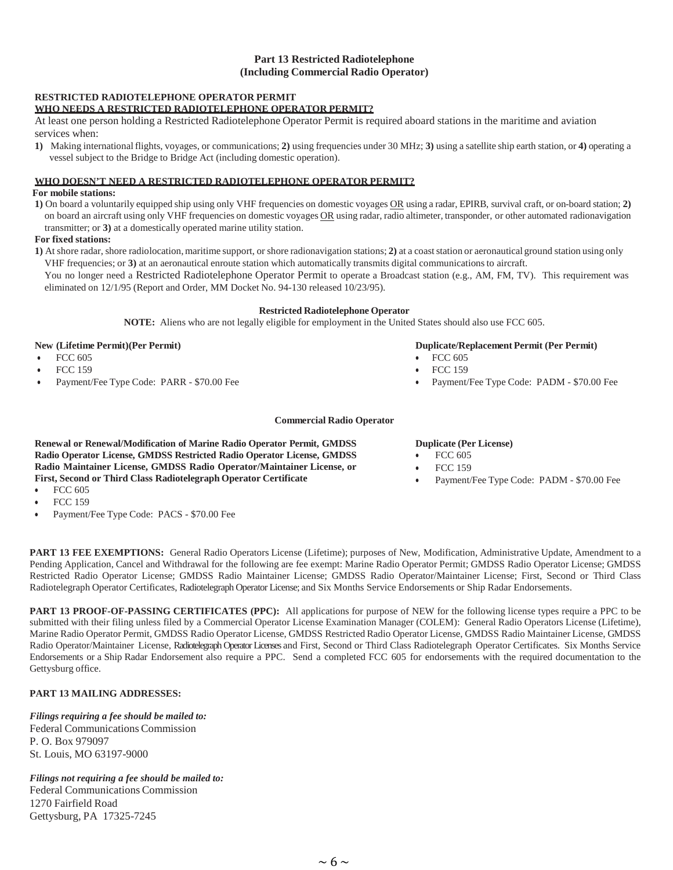#### **Part 13 Restricted Radiotelephone (Including Commercial Radio Operator)**

## **RESTRICTED RADIOTELEPHONE OPERATOR PERMIT**

### **WHO NEEDS A RESTRICTED RADIOTELEPHONE OPERATOR PERMIT?**

At least one person holding a Restricted Radiotelephone Operator Permit is required aboard stations in the maritime and aviation services when:

**1)** Making international flights, voyages, or communications; **2)** using frequencies under 30 MHz; **3)** using a satellite ship earth station, or **4)** operating a vessel subject to the Bridge to Bridge Act (including domestic operation).

#### **WHO DOESN'T NEED A RESTRICTED RADIOTELEPHONE OPERATOR PERMIT?**

#### **For mobile stations:**

**1)** On board a voluntarily equipped ship using only VHF frequencies on domestic voyages OR using a radar, EPIRB, survival craft, or on-board station; **2)**  on board an aircraft using only VHF frequencies on domestic voyages OR using radar, radio altimeter, transponder, or other automated radionavigation transmitter; or **3)** at a domestically operated marine utility station.

#### **For fixed stations:**

**1**) At shore radar, shore radiolocation, maritime support, or shore radionavigation stations; **2**) at a coast station or aeronautical ground station using only VHF frequencies; or **3)** at an aeronautical enroute station which automatically transmits digital communicationsto aircraft.

You no longer need a Restricted Radiotelephone Operator Permit to operate a Broadcast station (e.g., AM, FM, TV). This requirement was eliminated on 12/1/95 (Report and Order, MM Docket No. 94-130 released 10/23/95).

#### **Restricted Radiotelephone Operator**

**NOTE:** Aliens who are not legally eligible for employment in the United States should also use FCC 605.

#### **New (Lifetime Permit)(Per Permit)**

- FCC 605
- FCC 159
- Payment/Fee Type Code: PARR \$70.00 Fee

#### **Commercial Radio Operator**

#### **Duplicate (Per License)**

• FCC 605

• FCC 605 • FCC 159

- FCC 159
- Payment/Fee Type Code: PADM \$70.00 Fee

**Duplicate/Replacement Permit (Per Permit)**

• Payment/Fee Type Code: PADM - \$70.00 Fee

- **Renewal or Renewal/Modification of Marine Radio Operator Permit, GMDSS Radio Operator License, GMDSS Restricted Radio Operator License, GMDSS Radio Maintainer License, GMDSS Radio Operator/Maintainer License, or First, Second or Third Class Radiotelegraph Operator Certificate**
- FCC 605
- FCC 159
- Payment/Fee Type Code: PACS \$70.00 Fee

**PART 13 FEE EXEMPTIONS:** General Radio Operators License (Lifetime); purposes of New, Modification, Administrative Update, Amendment to a Pending Application, Cancel and Withdrawal for the following are fee exempt: Marine Radio Operator Permit; GMDSS Radio Operator License; GMDSS Restricted Radio Operator License; GMDSS Radio Maintainer License; GMDSS Radio Operator/Maintainer License; First, Second or Third Class Radiotelegraph Operator Certificates, Radiotelegraph Operator License; and Six Months Service Endorsements or Ship Radar Endorsements.

**PART 13 PROOF-OF-PASSING CERTIFICATES (PPC):** All applications for purpose of NEW for the following license types require a PPC to be submitted with their filing unless filed by a Commercial Operator License Examination Manager (COLEM): General Radio Operators License (Lifetime), Marine Radio Operator Permit, GMDSS Radio Operator License, GMDSS Restricted Radio Operator License, GMDSS Radio Maintainer License, GMDSS Radio Operator/Maintainer License, Radiotelegraph Operator Licenses and First, Second or Third Class Radiotelegraph Operator Certificates. Six Months Service Endorsements or a Ship Radar Endorsement also require a PPC. Send a completed FCC 605 for endorsements with the required documentation to the Gettysburg office.

#### **PART 13 MAILING ADDRESSES:**

*Filings requiring a fee should be mailed to:* Federal Communications Commission P. O. Box 979097 St. Louis, MO 63197-9000

*Filings not requiring a fee should be mailed to:* Federal Communications Commission 1270 Fairfield Road Gettysburg, PA 17325-7245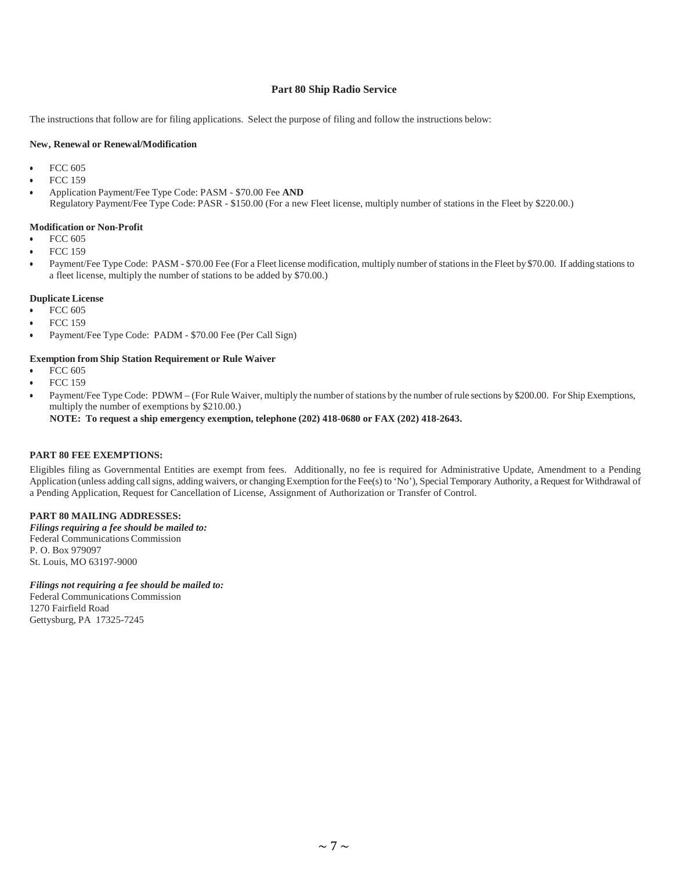#### **Part 80 Ship Radio Service**

The instructions that follow are for filing applications. Select the purpose of filing and follow the instructions below:

#### **New, Renewal or Renewal/Modification**

- FCC 605
- FCC 159
- Application Payment/Fee Type Code: PASM \$70.00 Fee **AND** Regulatory Payment/Fee Type Code: PASR - \$150.00 (For a new Fleet license, multiply number of stations in the Fleet by \$220.00.)

#### **Modification or Non-Profit**

- FCC 605
- FCC 159
- Payment/Fee Type Code: PASM \$70.00 Fee (For a Fleet license modification, multiply number of stations in the Fleet by \$70.00. If adding stations to a fleet license, multiply the number of stations to be added by \$70.00.)

#### **Duplicate License**

- FCC 605
- FCC 159
- Payment/Fee Type Code: PADM \$70.00 Fee (Per Call Sign)

#### **Exemption from Ship Station Requirement or Rule Waiver**

- FCC 605
- FCC 159
- Payment/Fee Type Code: PDWM (For Rule Waiver, multiply the number of stations by the number of rule sections by \$200.00. For Ship Exemptions, multiply the number of exemptions by \$210.00.)
	- **NOTE: To request a ship emergency exemption, telephone (202) 418-0680 or FAX (202) 418-2643.**

#### **PART 80 FEE EXEMPTIONS:**

Eligibles filing as Governmental Entities are exempt from fees. Additionally, no fee is required for Administrative Update, Amendment to a Pending Application (unless adding call signs, adding waivers, or changing Exemption for the Fee(s) to 'No'), Special Temporary Authority, a Request for Withdrawal of a Pending Application, Request for Cancellation of License, Assignment of Authorization or Transfer of Control.

#### **PART 80 MAILING ADDRESSES:**

*Filings requiring a fee should be mailed to:*  Federal Communications Commission P. O. Box 979097 St. Louis, MO 63197-9000

*Filings not requiring a fee should be mailed to:* Federal Communications Commission 1270 Fairfield Road

Gettysburg, PA 17325-7245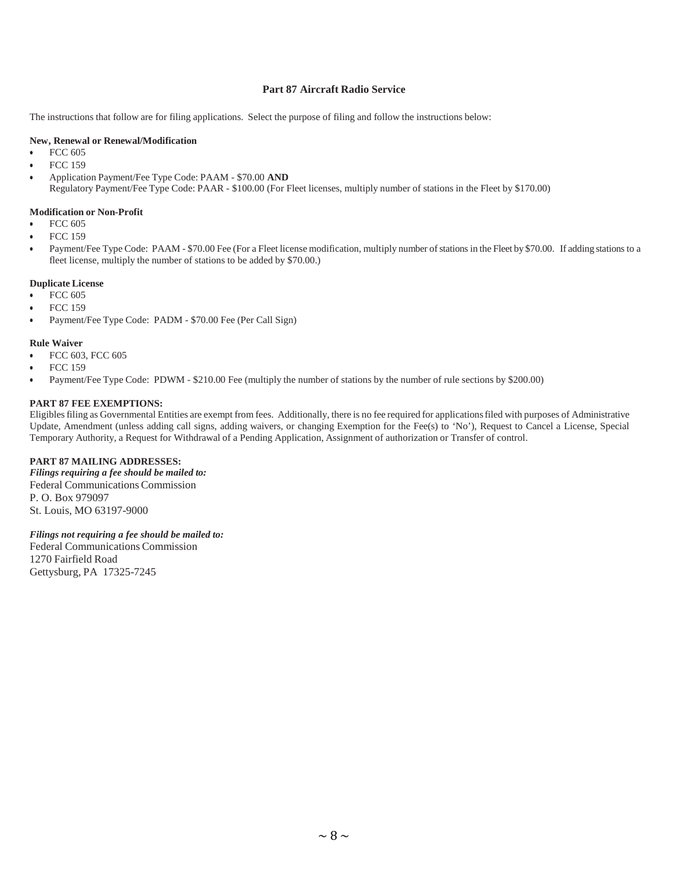#### **Part 87 Aircraft Radio Service**

The instructions that follow are for filing applications. Select the purpose of filing and follow the instructions below:

#### **New, Renewal or Renewal/Modification**

- FCC 605
- FCC 159
- Application Payment/Fee Type Code: PAAM \$70.00 **AND** Regulatory Payment/Fee Type Code: PAAR - \$100.00 (For Fleet licenses, multiply number of stations in the Fleet by \$170.00)

#### **Modification or Non-Profit**

- FCC 605
- FCC 159
- Payment/Fee Type Code: PAAM \$70.00 Fee (For a Fleet license modification, multiply number of stations in the Fleet by \$70.00. If adding stations to a fleet license, multiply the number of stations to be added by \$70.00.)

#### **Duplicate License**

- FCC 605
- FCC 159
- Payment/Fee Type Code: PADM \$70.00 Fee (Per Call Sign)

#### **Rule Waiver**

- FCC 603, FCC 605
- FCC 159
- Payment/Fee Type Code: PDWM \$210.00 Fee (multiply the number of stations by the number of rule sections by \$200.00)

#### **PART 87 FEE EXEMPTIONS:**

Eligiblesfiling as Governmental Entities are exempt from fees. Additionally, there is no fee required for applicationsfiled with purposes of Administrative Update, Amendment (unless adding call signs, adding waivers, or changing Exemption for the Fee(s) to 'No'), Request to Cancel a License, Special Temporary Authority, a Request for Withdrawal of a Pending Application, Assignment of authorization or Transfer of control.

#### **PART 87 MAILING ADDRESSES:**

*Filings requiring a fee should be mailed to:*  Federal Communications Commission P. O. Box 979097 St. Louis, MO 63197-9000

*Filings not requiring a fee should be mailed to:* Federal Communications Commission

1270 Fairfield Road Gettysburg, PA 17325-7245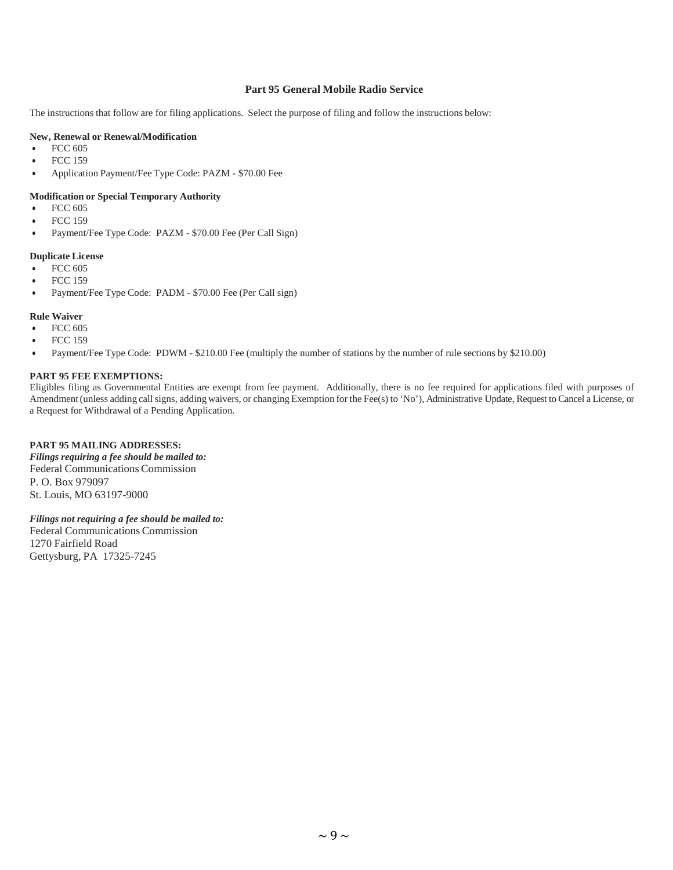#### **Part 95 General Mobile Radio Service**

The instructions that follow are for filing applications. Select the purpose of filing and follow the instructions below:

#### **New, Renewal or Renewal/Modification**

- FCC 605
- FCC 159
- Application Payment/Fee Type Code: PAZM \$70.00 Fee

#### **Modification or Special Temporary Authority**

- FCC 605
- FCC 159
- Payment/Fee Type Code: PAZM \$70.00 Fee (Per Call Sign)

#### **Duplicate License**

- FCC 605
- FCC 159
- Payment/Fee Type Code: PADM \$70.00 Fee (Per Call sign)

#### **Rule Waiver**

- FCC 605
- FCC 159
- Payment/Fee Type Code: PDWM \$210.00 Fee (multiply the number of stations by the number of rule sections by \$210.00)

#### **PART 95 FEE EXEMPTIONS:**

Eligibles filing as Governmental Entities are exempt from fee payment. Additionally, there is no fee required for applications filed with purposes of Amendment (unless adding call signs, adding waivers, or changing Exemption for the Fee(s) to 'No'), Administrative Update, Request to Cancel a License, or a Request for Withdrawal of a Pending Application.

#### **PART 95 MAILING ADDRESSES:**

*Filings requiring a fee should be mailed to:*  Federal Communications Commission P. O. Box 979097 St. Louis, MO 63197-9000

## *Filings not requiring a fee should be mailed to:*

Federal Communications Commission 1270 Fairfield Road Gettysburg, PA 17325-7245